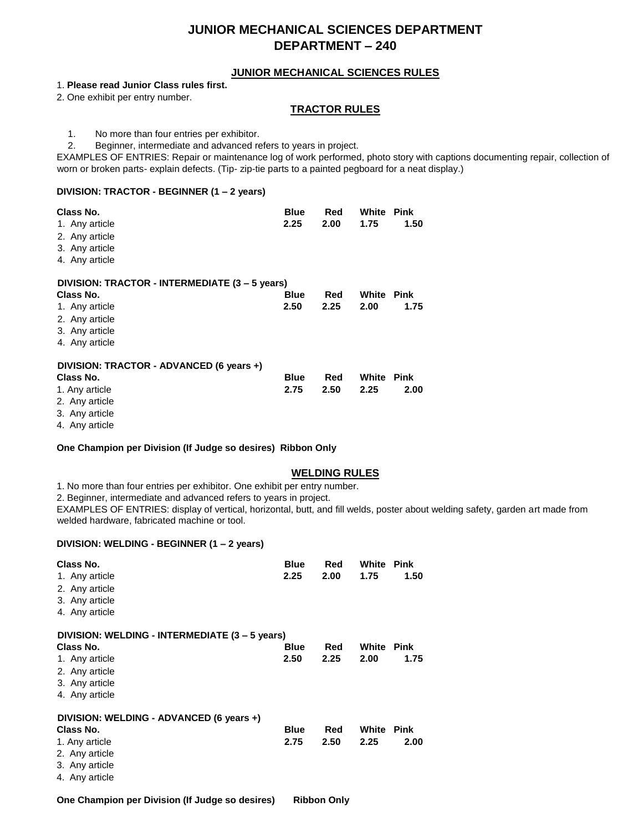# **JUNIOR MECHANICAL SCIENCES DEPARTMENT DEPARTMENT – 240**

### **JUNIOR MECHANICAL SCIENCES RULES**

### 1. **Please read Junior Class rules first.**

2. One exhibit per entry number.

### **TRACTOR RULES**

1. No more than four entries per exhibitor.

2. Beginner, intermediate and advanced refers to years in project.

EXAMPLES OF ENTRIES: Repair or maintenance log of work performed, photo story with captions documenting repair, collection of worn or broken parts- explain defects. (Tip- zip-tie parts to a painted pegboard for a neat display.)

### **DIVISION: TRACTOR - BEGINNER (1 – 2 years)**

| Class No.<br>1. Any article<br>2. Any article<br>3. Any article<br>4. Any article | <b>Blue</b><br>2.25 | Red<br>2.00 | White<br>1.75 | <b>Pink</b><br>1.50 |
|-----------------------------------------------------------------------------------|---------------------|-------------|---------------|---------------------|
| DIVISION: TRACTOR - INTERMEDIATE (3 - 5 years)                                    |                     |             |               |                     |
| Class No.                                                                         | <b>Blue</b>         | Red         | White         | Pink                |
| 1. Any article                                                                    | 2.50                | 2.25        | 2.00          | 1.75                |
| 2. Any article                                                                    |                     |             |               |                     |
| 3. Any article                                                                    |                     |             |               |                     |
| 4. Any article                                                                    |                     |             |               |                     |
| DIVISION: TRACTOR - ADVANCED (6 years +)                                          |                     |             |               |                     |
| Class No.                                                                         | <b>Blue</b>         | Red         | White         | Pink                |
| 1. Any article                                                                    | 2.75                | 2.50        | 2.25          | 2.00                |
| 2. Any article                                                                    |                     |             |               |                     |
| 3. Any article                                                                    |                     |             |               |                     |

4. Any article

### **One Champion per Division (If Judge so desires) Ribbon Only**

### **WELDING RULES**

1. No more than four entries per exhibitor. One exhibit per entry number.

2. Beginner, intermediate and advanced refers to years in project.

EXAMPLES OF ENTRIES: display of vertical, horizontal, butt, and fill welds, poster about welding safety, garden art made from welded hardware, fabricated machine or tool.

### **DIVISION: WELDING - BEGINNER (1 – 2 years)**

| Class No.<br>1. Any article<br>2. Any article<br>3. Any article<br>4. Any article | <b>Blue</b><br>2.25 | Red<br>2.00 | White<br>1.75 | Pink<br>1.50 |
|-----------------------------------------------------------------------------------|---------------------|-------------|---------------|--------------|
| DIVISION: WELDING - INTERMEDIATE (3 – 5 years)                                    |                     |             |               |              |
| Class No.                                                                         | <b>Blue</b>         | Red         | White         | Pink         |
| 1. Any article                                                                    | 2.50                | 2.25        | 2.00          | 1.75         |
| 2. Any article                                                                    |                     |             |               |              |
| 3. Any article                                                                    |                     |             |               |              |
| 4. Any article                                                                    |                     |             |               |              |
| DIVISION: WELDING - ADVANCED (6 years +)                                          |                     |             |               |              |
| Class No.                                                                         | <b>Blue</b>         | Red         | White         | <b>Pink</b>  |
| 1. Any article                                                                    | 2.75                | 2.50        | 2.25          | 2.00         |
| 2. Any article                                                                    |                     |             |               |              |
| 3. Any article                                                                    |                     |             |               |              |
| 4. Any article                                                                    |                     |             |               |              |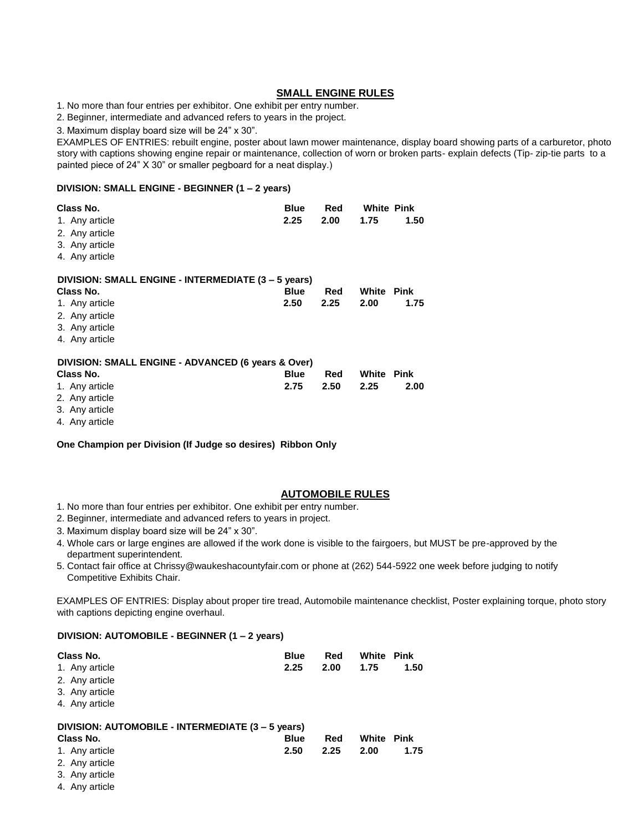### **SMALL ENGINE RULES**

1. No more than four entries per exhibitor. One exhibit per entry number.

2. Beginner, intermediate and advanced refers to years in the project.

3. Maximum display board size will be 24" x 30".

EXAMPLES OF ENTRIES: rebuilt engine, poster about lawn mower maintenance, display board showing parts of a carburetor, photo story with captions showing engine repair or maintenance, collection of worn or broken parts- explain defects (Tip- zip-tie parts to a painted piece of 24" X 30" or smaller pegboard for a neat display.)

### **DIVISION: SMALL ENGINE - BEGINNER (1 – 2 years)**

| Class No.                                           | <b>Blue</b> | Red  | <b>White Pink</b> |             |
|-----------------------------------------------------|-------------|------|-------------------|-------------|
| 1. Any article                                      | 2.25        | 2.00 | 1.75              | 1.50        |
| 2. Any article                                      |             |      |                   |             |
| 3. Any article                                      |             |      |                   |             |
| 4. Any article                                      |             |      |                   |             |
| DIVISION: SMALL ENGINE - INTERMEDIATE (3 - 5 years) |             |      |                   |             |
| Class No.                                           | <b>Blue</b> | Red  | <b>White Pink</b> |             |
| 1. Any article                                      | 2.50        | 2.25 | 2.00              | 1.75        |
| 2. Any article                                      |             |      |                   |             |
| 3. Any article                                      |             |      |                   |             |
| 4. Any article                                      |             |      |                   |             |
| DIVISION: SMALL ENGINE - ADVANCED (6 years & Over)  |             |      |                   |             |
| Class No.                                           | <b>Blue</b> | Red  | White             | <b>Pink</b> |
| 1. Any article                                      | 2.75        | 2.50 | 2.25              | 2.00        |
| 2. Any article                                      |             |      |                   |             |
| 3. Any article                                      |             |      |                   |             |

4. Any article

**One Champion per Division (If Judge so desires) Ribbon Only**

### **AUTOMOBILE RULES**

- 1. No more than four entries per exhibitor. One exhibit per entry number.
- 2. Beginner, intermediate and advanced refers to years in project.
- 3. Maximum display board size will be 24" x 30".
- 4. Whole cars or large engines are allowed if the work done is visible to the fairgoers, but MUST be pre-approved by the department superintendent.
- 5. Contact fair office at Chrissy@waukeshacountyfair.com or phone at (262) 544-5922 one week before judging to notify Competitive Exhibits Chair.

EXAMPLES OF ENTRIES: Display about proper tire tread, Automobile maintenance checklist, Poster explaining torque, photo story with captions depicting engine overhaul.

### **DIVISION: AUTOMOBILE - BEGINNER (1 – 2 years)**

| Class No.<br>1. Any article<br>2. Any article<br>3. Any article<br>4. Any article | <b>Blue</b><br>2.25 | Red<br>2.00 | <b>White Pink</b><br>1.75 | 1.50 |  |
|-----------------------------------------------------------------------------------|---------------------|-------------|---------------------------|------|--|
| DIVISION: AUTOMOBILE - INTERMEDIATE (3 - 5 years)                                 |                     |             |                           |      |  |
| Class No.                                                                         | <b>Blue</b>         | Red         | White                     | Pink |  |
| 1. Any article                                                                    | 2.50                | 2.25        | 2.00                      | 1.75 |  |
| 2. Any article                                                                    |                     |             |                           |      |  |
| 3. Any article                                                                    |                     |             |                           |      |  |
| 4. Any article                                                                    |                     |             |                           |      |  |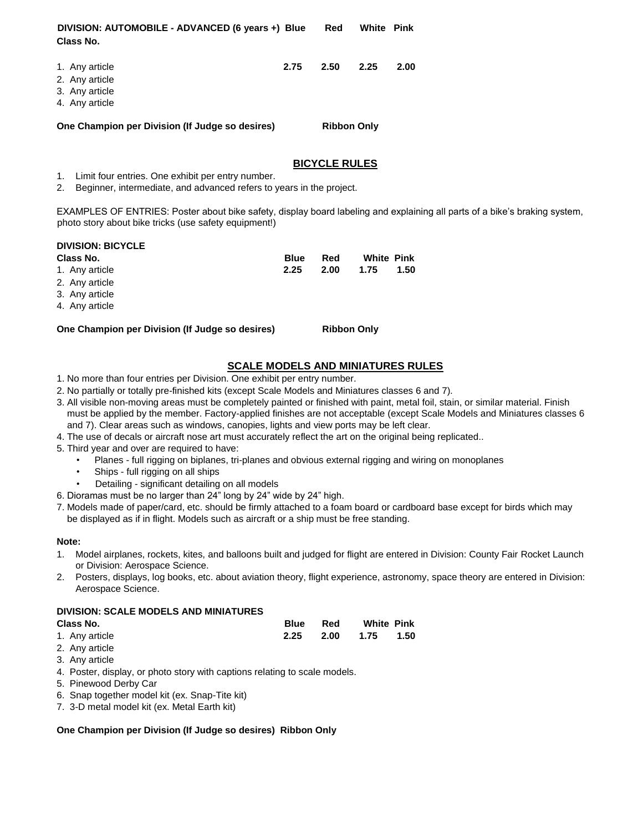| DIVISION: AUTOMOBILE - ADVANCED (6 years +) Blue<br>Class No.        |      | Red                | <b>White Pink</b> |      |
|----------------------------------------------------------------------|------|--------------------|-------------------|------|
| 1. Any article<br>2. Any article<br>3. Any article<br>4. Any article | 2.75 | 2.50               | 2.25              | 2.00 |
| One Champion per Division (If Judge so desires)                      |      | <b>Ribbon Only</b> |                   |      |

### **BICYCLE RULES**

1. Limit four entries. One exhibit per entry number.

2. Beginner, intermediate, and advanced refers to years in the project.

EXAMPLES OF ENTRIES: Poster about bike safety, display board labeling and explaining all parts of a bike's braking system, photo story about bike tricks (use safety equipment!)

| <b>DIVISION: BICYCLE</b>                        |             |                    |                   |      |
|-------------------------------------------------|-------------|--------------------|-------------------|------|
| Class No.                                       | <b>Blue</b> | Red                | <b>White Pink</b> |      |
| 1. Any article                                  | 2.25        | 2.00               | 1.75              | 1.50 |
| 2. Any article                                  |             |                    |                   |      |
| 3. Any article                                  |             |                    |                   |      |
| 4. Any article                                  |             |                    |                   |      |
| One Champion per Division (If Judge so desires) |             | <b>Ribbon Only</b> |                   |      |
|                                                 |             |                    |                   |      |

# **SCALE MODELS AND MINIATURES RULES**

- 1. No more than four entries per Division. One exhibit per entry number.
- 2. No partially or totally pre-finished kits (except Scale Models and Miniatures classes 6 and 7).
- 3. All visible non-moving areas must be completely painted or finished with paint, metal foil, stain, or similar material. Finish must be applied by the member. Factory-applied finishes are not acceptable (except Scale Models and Miniatures classes 6 and 7). Clear areas such as windows, canopies, lights and view ports may be left clear.
- 4. The use of decals or aircraft nose art must accurately reflect the art on the original being replicated..
- 5. Third year and over are required to have:
	- Planes full rigging on biplanes, tri-planes and obvious external rigging and wiring on monoplanes
	- Ships full rigging on all ships
	- Detailing significant detailing on all models
- 6. Dioramas must be no larger than 24" long by 24" wide by 24" high.
- 7. Models made of paper/card, etc. should be firmly attached to a foam board or cardboard base except for birds which may be displayed as if in flight. Models such as aircraft or a ship must be free standing.

### **Note:**

- 1. Model airplanes, rockets, kites, and balloons built and judged for flight are entered in Division: County Fair Rocket Launch or Division: Aerospace Science.
- 2. Posters, displays, log books, etc. about aviation theory, flight experience, astronomy, space theory are entered in Division: Aerospace Science.

### **DIVISION: SCALE MODELS AND MINIATURES**

| Class No.      | <b>Blue</b> Red |                     | <b>White Pink</b> |  |
|----------------|-----------------|---------------------|-------------------|--|
| 1. Any article |                 | 2.25 2.00 1.75 1.50 |                   |  |

- 2. Any article
- 3. Any article
- 4. Poster, display, or photo story with captions relating to scale models.
- 5. Pinewood Derby Car
- 6. Snap together model kit (ex. Snap-Tite kit)
- 7. 3-D metal model kit (ex. Metal Earth kit)

### **One Champion per Division (If Judge so desires) Ribbon Only**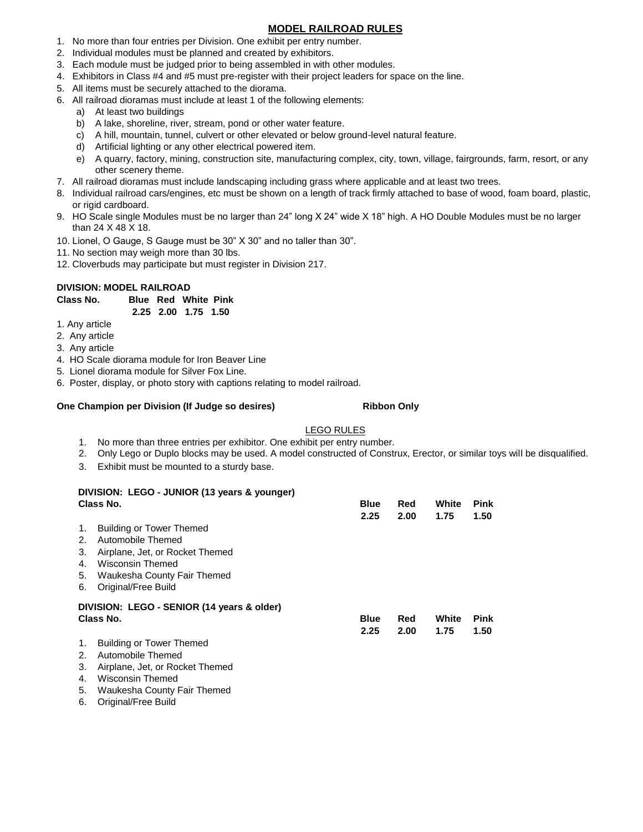### **MODEL RAILROAD RULES**

- 1. No more than four entries per Division. One exhibit per entry number.
- 2. Individual modules must be planned and created by exhibitors.
- 3. Each module must be judged prior to being assembled in with other modules.
- 4. Exhibitors in Class #4 and #5 must pre-register with their project leaders for space on the line.
- 5. All items must be securely attached to the diorama.
- 6. All railroad dioramas must include at least 1 of the following elements:
	- a) At least two buildings
	- b) A lake, shoreline, river, stream, pond or other water feature.
	- c) A hill, mountain, tunnel, culvert or other elevated or below ground-level natural feature.
	- d) Artificial lighting or any other electrical powered item.
	- e) A quarry, factory, mining, construction site, manufacturing complex, city, town, village, fairgrounds, farm, resort, or any other scenery theme.
- 7. All railroad dioramas must include landscaping including grass where applicable and at least two trees.
- 8. Individual railroad cars/engines, etc must be shown on a length of track firmly attached to base of wood, foam board, plastic, or rigid cardboard.
- 9. HO Scale single Modules must be no larger than 24" long X 24" wide X 18" high. A HO Double Modules must be no larger than 24 X 48 X 18.
- 10. Lionel, O Gauge, S Gauge must be 30" X 30" and no taller than 30".
- 11. No section may weigh more than 30 lbs.
- 12. Cloverbuds may participate but must register in Division 217.

### **DIVISION: MODEL RAILROAD**

**Class No. Blue Red White Pink 2.25 2.00 1.75 1.50**

1. Any article

- 2. Any article
- 3. Any article
- 4. HO Scale diorama module for Iron Beaver Line
- 5. Lionel diorama module for Silver Fox Line.
- 6. Poster, display, or photo story with captions relating to model railroad.

### **One Champion per Division (If Judge so desires) Ribbon Only**

### LEGO RULES

- 1. No more than three entries per exhibitor. One exhibit per entry number.
- 2. Only Lego or Duplo blocks may be used. A model constructed of Construx, Erector, or similar toys will be disqualified.
- 3. Exhibit must be mounted to a sturdy base.

|    | DIVISION: LEGO - JUNIOR (13 years & younger) |             |      |       |             |  |
|----|----------------------------------------------|-------------|------|-------|-------------|--|
|    | Class No.                                    | <b>Blue</b> | Red  | White | <b>Pink</b> |  |
|    |                                              | 2.25        | 2.00 | 1.75  | 1.50        |  |
| 1. | <b>Building or Tower Themed</b>              |             |      |       |             |  |
| 2. | Automobile Themed                            |             |      |       |             |  |
| 3. | Airplane, Jet, or Rocket Themed              |             |      |       |             |  |
| 4. | Wisconsin Themed                             |             |      |       |             |  |
| 5. | Waukesha County Fair Themed                  |             |      |       |             |  |
| 6. | Original/Free Build                          |             |      |       |             |  |
|    | DIVISION: LEGO - SENIOR (14 years & older)   |             |      |       |             |  |
|    | Class No.                                    | <b>Blue</b> | Red  | White | <b>Pink</b> |  |
|    |                                              | 2.25        | 2.00 | 1.75  | 1.50        |  |
| 1. | <b>Building or Tower Themed</b>              |             |      |       |             |  |
| 2. | Automobile Themed                            |             |      |       |             |  |
| 3. | Airplane, Jet, or Rocket Themed              |             |      |       |             |  |
| 4. | Wisconsin Themed                             |             |      |       |             |  |

- 5. Waukesha County Fair Themed
- 6. Original/Free Build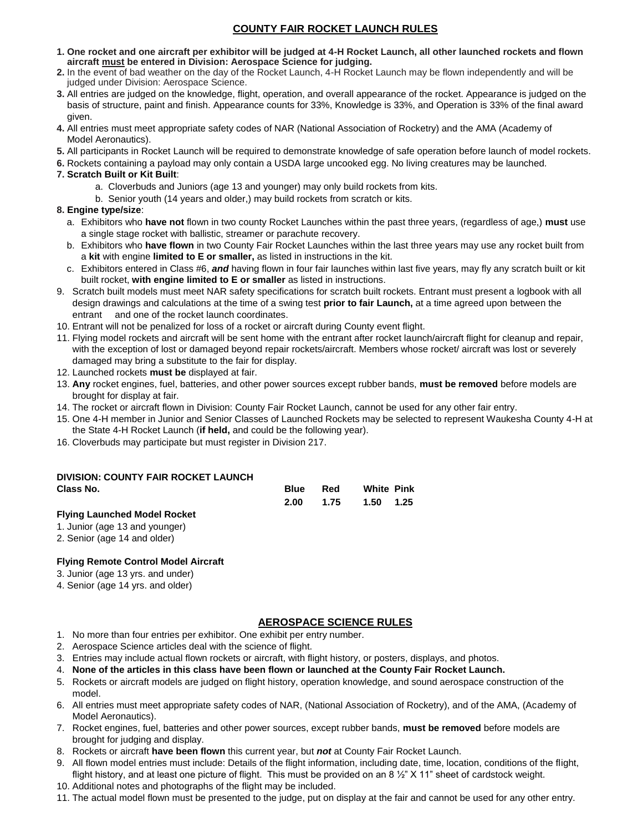## **COUNTY FAIR ROCKET LAUNCH RULES**

- **1. One rocket and one aircraft per exhibitor will be judged at 4-H Rocket Launch, all other launched rockets and flown aircraft must be entered in Division: Aerospace Science for judging.**
- **2.** In the event of bad weather on the day of the Rocket Launch, 4-H Rocket Launch may be flown independently and will be judged under Division: Aerospace Science.
- **3.** All entries are judged on the knowledge, flight, operation, and overall appearance of the rocket. Appearance is judged on the basis of structure, paint and finish. Appearance counts for 33%, Knowledge is 33%, and Operation is 33% of the final award given.
- **4.** All entries must meet appropriate safety codes of NAR (National Association of Rocketry) and the AMA (Academy of Model Aeronautics).
- **5.** All participants in Rocket Launch will be required to demonstrate knowledge of safe operation before launch of model rockets.
- **6.** Rockets containing a payload may only contain a USDA large uncooked egg. No living creatures may be launched.

### **7. Scratch Built or Kit Built**:

- a. Cloverbuds and Juniors (age 13 and younger) may only build rockets from kits.
- b. Senior youth (14 years and older,) may build rockets from scratch or kits.

### **8. Engine type/size**:

- a. Exhibitors who **have not** flown in two county Rocket Launches within the past three years, (regardless of age,) **must** use a single stage rocket with ballistic, streamer or parachute recovery.
- b. Exhibitors who **have flown** in two County Fair Rocket Launches within the last three years may use any rocket built from a **kit** with engine **limited to E or smaller,** as listed in instructions in the kit.
- c. Exhibitors entered in Class #6, *and* having flown in four fair launches within last five years, may fly any scratch built or kit built rocket, **with engine limited to E or smaller** as listed in instructions.
- 9. Scratch built models must meet NAR safety specifications for scratch built rockets. Entrant must present a logbook with all design drawings and calculations at the time of a swing test **prior to fair Launch,** at a time agreed upon between the entrant and one of the rocket launch coordinates.
- 10. Entrant will not be penalized for loss of a rocket or aircraft during County event flight.
- 11. Flying model rockets and aircraft will be sent home with the entrant after rocket launch/aircraft flight for cleanup and repair, with the exception of lost or damaged beyond repair rockets/aircraft. Members whose rocket/ aircraft was lost or severely damaged may bring a substitute to the fair for display.
- 12. Launched rockets **must be** displayed at fair.
- 13. **Any** rocket engines, fuel, batteries, and other power sources except rubber bands, **must be removed** before models are brought for display at fair.
- 14. The rocket or aircraft flown in Division: County Fair Rocket Launch, cannot be used for any other fair entry.
- 15. One 4-H member in Junior and Senior Classes of Launched Rockets may be selected to represent Waukesha County 4-H at the State 4-H Rocket Launch (**if held,** and could be the following year).
- 16. Cloverbuds may participate but must register in Division 217.

# **DIVISION: COUNTY FAIR ROCKET LAUNCH**

| Class No. | <b>Blue</b> Red | <b>White Pink</b>   |  |
|-----------|-----------------|---------------------|--|
|           |                 | 2.00 1.75 1.50 1.25 |  |
|           |                 |                     |  |

### **Flying Launched Model Rocket**

- 1. Junior (age 13 and younger)
- 2. Senior (age 14 and older)

### **Flying Remote Control Model Aircraft**

- 3. Junior (age 13 yrs. and under)
- 4. Senior (age 14 yrs. and older)

### **AEROSPACE SCIENCE RULES**

- 1. No more than four entries per exhibitor. One exhibit per entry number.
- 2. Aerospace Science articles deal with the science of flight.
- 3. Entries may include actual flown rockets or aircraft, with flight history, or posters, displays, and photos.
- 4. **None of the articles in this class have been flown or launched at the County Fair Rocket Launch.**
- 5. Rockets or aircraft models are judged on flight history, operation knowledge, and sound aerospace construction of the model.
- 6. All entries must meet appropriate safety codes of NAR, (National Association of Rocketry), and of the AMA, (Academy of Model Aeronautics).
- 7. Rocket engines, fuel, batteries and other power sources, except rubber bands, **must be removed** before models are brought for judging and display.
- 8. Rockets or aircraft **have been flown** this current year, but *not* at County Fair Rocket Launch.
- 9. All flown model entries must include: Details of the flight information, including date, time, location, conditions of the flight, flight history, and at least one picture of flight. This must be provided on an 8  $\frac{1}{2}$ " X 11" sheet of cardstock weight.
- 10. Additional notes and photographs of the flight may be included.
- 11. The actual model flown must be presented to the judge, put on display at the fair and cannot be used for any other entry.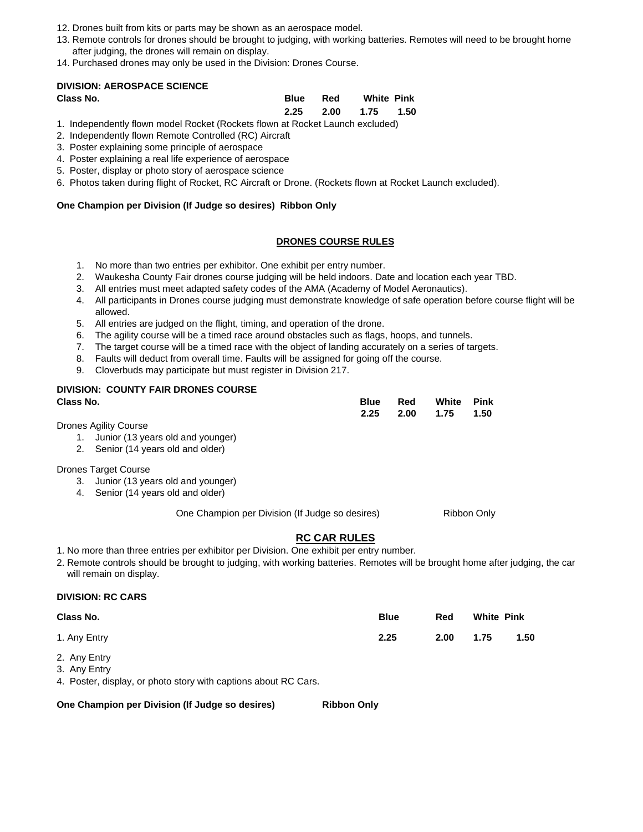- 12. Drones built from kits or parts may be shown as an aerospace model.
- 13. Remote controls for drones should be brought to judging, with working batteries. Remotes will need to be brought home after judging, the drones will remain on display.
- 14. Purchased drones may only be used in the Division: Drones Course.

### **DIVISION: AEROSPACE SCIENCE**

| Class No. | Blue Red | <b>White Pink</b>   |  |
|-----------|----------|---------------------|--|
|           |          | 2.25 2.00 1.75 1.50 |  |

- 1. Independently flown model Rocket (Rockets flown at Rocket Launch excluded)
- 2. Independently flown Remote Controlled (RC) Aircraft
- 3. Poster explaining some principle of aerospace
- 4. Poster explaining a real life experience of aerospace
- 5. Poster, display or photo story of aerospace science
- 6. Photos taken during flight of Rocket, RC Aircraft or Drone. (Rockets flown at Rocket Launch excluded).

### **One Champion per Division (If Judge so desires) Ribbon Only**

### **DRONES COURSE RULES**

- 1. No more than two entries per exhibitor. One exhibit per entry number.
- 2. Waukesha County Fair drones course judging will be held indoors. Date and location each year TBD.
- 3. All entries must meet adapted safety codes of the AMA (Academy of Model Aeronautics).
- 4. All participants in Drones course judging must demonstrate knowledge of safe operation before course flight will be allowed.
- 5. All entries are judged on the flight, timing, and operation of the drone.
- 6. The agility course will be a timed race around obstacles such as flags, hoops, and tunnels.
- 7. The target course will be a timed race with the object of landing accurately on a series of targets.
- 8. Faults will deduct from overall time. Faults will be assigned for going off the course.
- 9. Cloverbuds may participate but must register in Division 217.

# **DIVISION: COUNTY FAIR DRONES COURSE**

| Class No.                    |  | <b>Blue Red White Pink</b> |  |
|------------------------------|--|----------------------------|--|
|                              |  | 2.25 2.00 1.75 1.50        |  |
| December 4 of the Order of a |  |                            |  |

Drones Agility Course

- 1. Junior (13 years old and younger)
- 2. Senior (14 years old and older)

### Drones Target Course

- 3. Junior (13 years old and younger)
- 4. Senior (14 years old and older)

One Champion per Division (If Judge so desires) Ribbon Only

### **RC CAR RULES**

- 1. No more than three entries per exhibitor per Division. One exhibit per entry number.
- 2. Remote controls should be brought to judging, with working batteries. Remotes will be brought home after judging, the car will remain on display.

### **DIVISION: RC CARS**

| Class No.                                                                                      | <b>Blue</b> | Red  | <b>White Pink</b> |      |
|------------------------------------------------------------------------------------------------|-------------|------|-------------------|------|
| 1. Any Entry                                                                                   | 2.25        | 2.00 | 1.75              | 1.50 |
| 2. Any Entry                                                                                   |             |      |                   |      |
| 3. Any Entry<br>$\overline{A}$ . Denoted altertate and the extensional construction of DO Open |             |      |                   |      |

4. Poster, display, or photo story with captions about RC Cars.

**One Champion per Division (If Judge so desires) Ribbon Only**